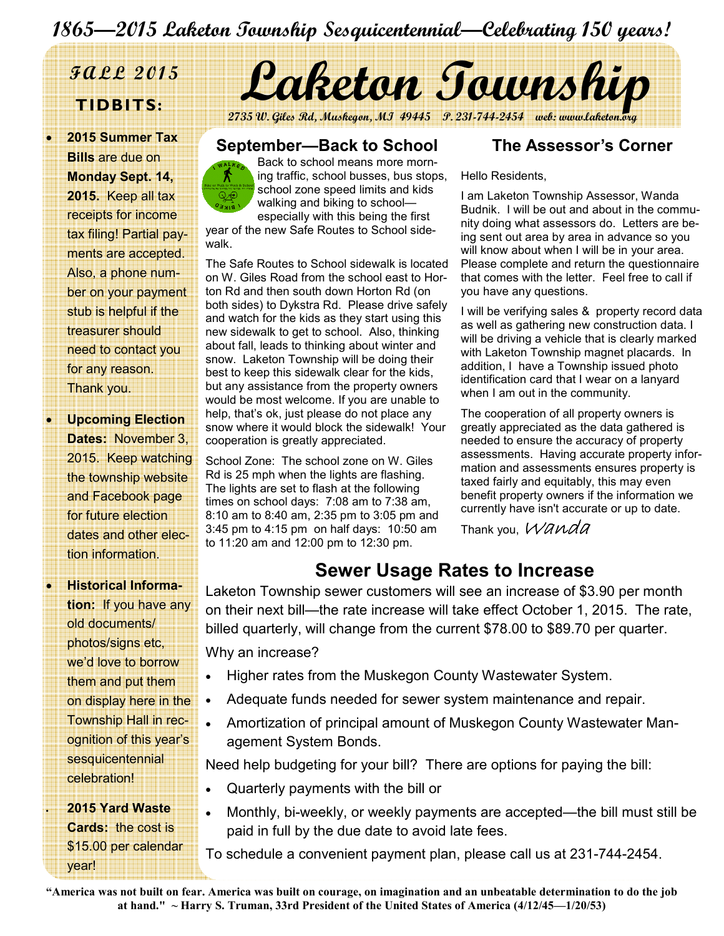# 1865—2015 Laketon Township Sesquicentennial—Celebrating 150 years!

• 2015 Summer Tax Bills are due on Monday Sept. 14, 2015. Keep all tax receipts for income tax filing! Partial payments are accepted. Also, a phone number on your payment stub is helpful if the treasurer should need to contact you for any reason. Thank you.

**Upcoming Election** Dates: November 3, 2015. Keep watching the township website and Facebook page for future election dates and other election information.

• Historical Information: If you have any old documents/ photos/signs etc, we'd love to borrow them and put them on display here in the Township Hall in recognition of this year's sesquicentennial celebration!

• 2015 Yard Waste Cards: the cost is \$15.00 per calendar year!



2735 W. Giles Rd, Muskegon, MI 49445 P. 231-744-2454 web: www

#### September—Back to School



The Safe Routes to School sidewalk is located on W. Giles Road from the school east to Horton Rd and then south down Horton Rd (on both sides) to Dykstra Rd. Please drive safely and watch for the kids as they start using this new sidewalk to get to school. Also, thinking about fall, leads to thinking about winter and snow. Laketon Township will be doing their best to keep this sidewalk clear for the kids, but any assistance from the property owners would be most welcome. If you are unable to help, that's ok, just please do not place any snow where it would block the sidewalk! Your cooperation is greatly appreciated.

School Zone: The school zone on W. Giles Rd is 25 mph when the lights are flashing. The lights are set to flash at the following times on school days: 7:08 am to 7:38 am, 8:10 am to 8:40 am, 2:35 pm to 3:05 pm and 3:45 pm to 4:15 pm on half days: 10:50 am to 11:20 am and 12:00 pm to 12:30 pm.

#### The Assessor's Corner

Hello Residents,

I am Laketon Township Assessor, Wanda Budnik. I will be out and about in the community doing what assessors do. Letters are being sent out area by area in advance so you will know about when I will be in your area. Please complete and return the questionnaire that comes with the letter. Feel free to call if you have any questions.

I will be verifying sales & property record data as well as gathering new construction data. I will be driving a vehicle that is clearly marked with Laketon Township magnet placards. In addition, I have a Township issued photo identification card that I wear on a lanyard when I am out in the community.

The cooperation of all property owners is greatly appreciated as the data gathered is needed to ensure the accuracy of property assessments. Having accurate property information and assessments ensures property is taxed fairly and equitably, this may even benefit property owners if the information we currently have isn't accurate or up to date.

Thank you, Wanda

## Sewer Usage Rates to Increase

Laketon Township sewer customers will see an increase of \$3.90 per month on their next bill—the rate increase will take effect October 1, 2015. The rate, billed quarterly, will change from the current \$78.00 to \$89.70 per quarter. Why an increase?

- Higher rates from the Muskegon County Wastewater System.
- Adequate funds needed for sewer system maintenance and repair.
- Amortization of principal amount of Muskegon County Wastewater Management System Bonds.

Need help budgeting for your bill? There are options for paying the bill:

- Quarterly payments with the bill or
- Monthly, bi-weekly, or weekly payments are accepted—the bill must still be paid in full by the due date to avoid late fees.

To schedule a convenient payment plan, please call us at 231-744-2454.

"America was not built on fear. America was built on courage, on imagination and an unbeatable determination to do the job at hand."  $\sim$  Harry S. Truman, 33rd President of the United States of America (4/12/45—1/20/53)